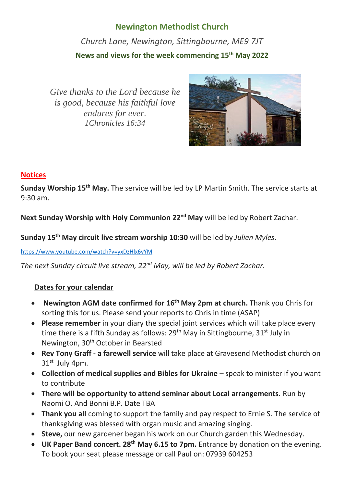# **Newington Methodist Church**

*Church Lane, Newington, Sittingbourne, ME9 7JT* **News and views for the week commencing 15th May 2022**

*Give thanks to the Lord because he is good, because his faithful love endures for ever. 1Chronicles 16:34*



## **Notices**

**Sunday Worship 15th May.** The service will be led by LP Martin Smith. The service starts at 9:30 am.

**Next Sunday Worship with Holy Communion 22nd May** will be led by Robert Zachar.

**Sunday 15th May circuit live stream worship 10:30** will be led by *Julien Myles*.

[https://www.youtube.com/watch?v=yxDzHlx6vYM](about:blank)

*The next Sunday circuit live stream, 22nd May, will be led by Robert Zachar.* 

## **Dates for your calendar**

- **Newington AGM date confirmed for 16th May 2pm at church.** Thank you Chris for sorting this for us. Please send your reports to Chris in time (ASAP)
- **Please remember** in your diary the special joint services which will take place every time there is a fifth Sunday as follows: 29<sup>th</sup> May in Sittingbourne, 31<sup>st</sup> July in Newington, 30<sup>th</sup> October in Bearsted
- **Rev Tony Graff - a farewell service** will take place at Gravesend Methodist church on 31<sup>st</sup> July 4pm.
- **Collection of medical supplies and Bibles for Ukraine** speak to minister if you want to contribute
- **There will be opportunity to attend seminar about Local arrangements.** Run by Naomi O. And Bonni B.P. Date TBA
- **Thank you all** coming to support the family and pay respect to Ernie S. The service of thanksgiving was blessed with organ music and amazing singing.
- **Steve,** our new gardener began his work on our Church garden this Wednesday.
- **UK Paper Band concert. 28th May 6.15 to 7pm.** Entrance by donation on the evening. To book your seat please message or call Paul on: 07939 604253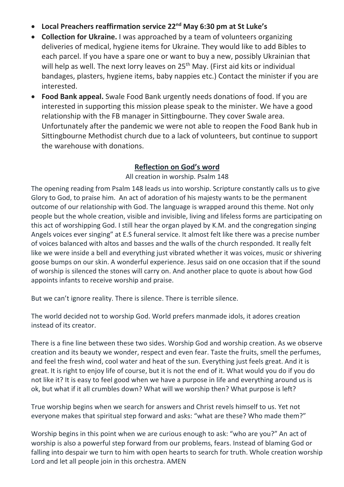- **Local Preachers reaffirmation service 22nd May 6:30 pm at St Luke's**
- **Collection for Ukraine.** I was approached by a team of volunteers organizing deliveries of medical, hygiene items for Ukraine. They would like to add Bibles to each parcel. If you have a spare one or want to buy a new, possibly Ukrainian that will help as well. The next lorry leaves on  $25<sup>th</sup>$  May. (First aid kits or individual bandages, plasters, hygiene items, baby nappies etc.) Contact the minister if you are interested.
- **Food Bank appeal.** Swale Food Bank urgently needs donations of food. If you are interested in supporting this mission please speak to the minister. We have a good relationship with the FB manager in Sittingbourne. They cover Swale area. Unfortunately after the pandemic we were not able to reopen the Food Bank hub in Sittingbourne Methodist church due to a lack of volunteers, but continue to support the warehouse with donations.

## **Reflection on God's word**

All creation in worship. Psalm 148

The opening reading from Psalm 148 leads us into worship. Scripture constantly calls us to give Glory to God, to praise him. An act of adoration of his majesty wants to be the permanent outcome of our relationship with God. The language is wrapped around this theme. Not only people but the whole creation, visible and invisible, living and lifeless forms are participating on this act of worshipping God. I still hear the organ played by K.M. and the congregation singing Angels voices ever singing" at E.S funeral service. It almost felt like there was a precise number of voices balanced with altos and basses and the walls of the church responded. It really felt like we were inside a bell and everything just vibrated whether it was voices, music or shivering goose bumps on our skin. A wonderful experience. Jesus said on one occasion that if the sound of worship is silenced the stones will carry on. And another place to quote is about how God appoints infants to receive worship and praise.

But we can't ignore reality. There is silence. There is terrible silence.

The world decided not to worship God. World prefers manmade idols, it adores creation instead of its creator.

There is a fine line between these two sides. Worship God and worship creation. As we observe creation and its beauty we wonder, respect and even fear. Taste the fruits, smell the perfumes, and feel the fresh wind, cool water and heat of the sun. Everything just feels great. And it is great. It is right to enjoy life of course, but it is not the end of it. What would you do if you do not like it? It is easy to feel good when we have a purpose in life and everything around us is ok, but what if it all crumbles down? What will we worship then? What purpose is left?

True worship begins when we search for answers and Christ revels himself to us. Yet not everyone makes that spiritual step forward and asks: "what are these? Who made them?"

Worship begins in this point when we are curious enough to ask: "who are you?" An act of worship is also a powerful step forward from our problems, fears. Instead of blaming God or falling into despair we turn to him with open hearts to search for truth. Whole creation worship Lord and let all people join in this orchestra. AMEN